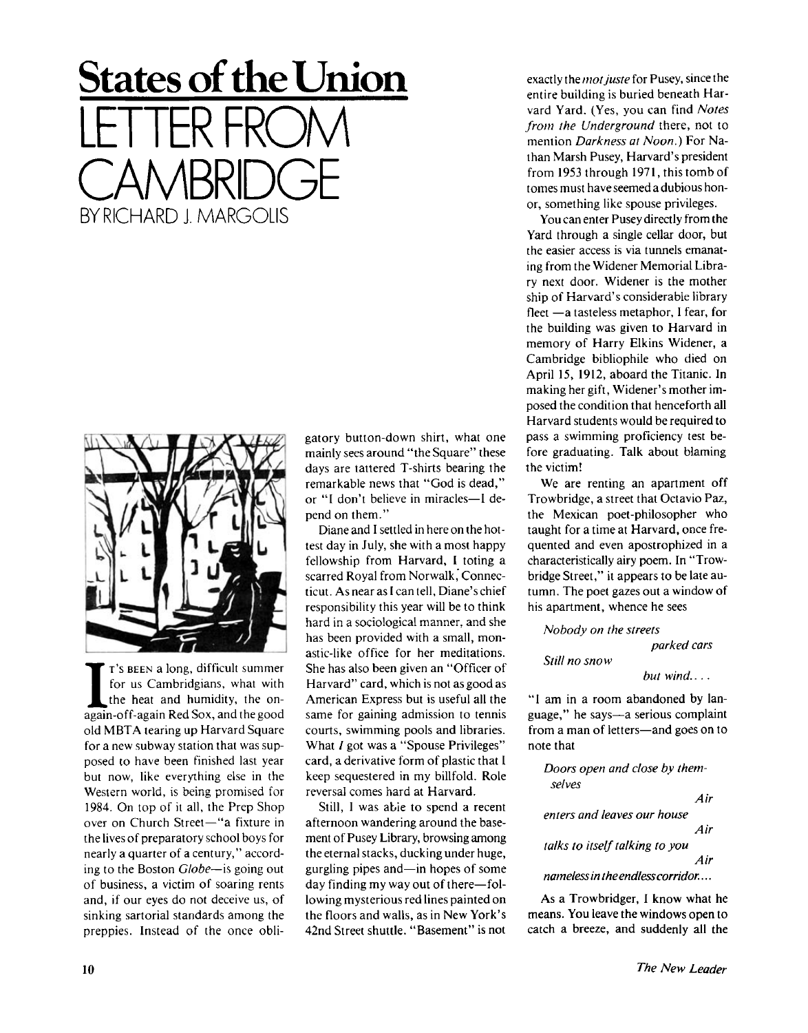## **States of the Union**  LETTER FROM CAMBRIDGE BY RICHARD J. MARGOLIS



**I** T's BEEN a long, difficult summer<br>for us Cambridgians, what with<br>the heat and humidity, the on-<br>again-off-again Red Sox, and the good T'S BEEN a long, difficult summer for us Cambridgians, what with the heat and humidity, the onold MBTA tearing up Harvard Square for a new subway station that was supposed to have been finished last year but now, like everything else in the Western world, is being promised for 1984. On top of it all, the Prep Shop over on Church Street—"a fixture in the lives of preparatory school boys for nearly a quarter of a century," according to the Boston *Globe*—is going out of business, a victim of soaring rents and, if our eyes do not deceive us, of sinking sartorial standards among the preppies. Instead of the once obligatory button-down shirt, what one mainly sees around "the Square" these days are tattered T-shirts bearing the remarkable news that "God is dead," or "I don't believe in miracles—I depend on them."

Diane and I settled in here on the hottest day in July, she with a most happy fellowship from Harvard, I toting a scarred Royal from Norwalk, Connecticut. As near as I can tell, Diane's chief responsibility this year will be to think hard in a sociological manner, and she has been provided with a small, monastic-like office for her meditations. She has also been given an "Officer of Harvard" card, which is not as good as American Express but is useful all the same for gaining admission to tennis courts, swimming pools and libraries. What I got was a "Spouse Privileges" card, a derivative form of plastic that I keep sequestered in my billfold. Role reversal comes hard at Harvard.

Still, I was able to spend a recent afternoon wandering around the basement of Pusey Library, browsing among the eternal stacks, ducking under huge, gurgling pipes and—in hopes of some day finding my way out of there—following mysterious red lines painted on the floors and walls, as in New York's 42nd Street shuttle. "Basement" is not

exactly the *mot juste* for Pusey, since the entire building is buried beneath Harvard Yard. (Yes, you can find *Notes from the Underground* there, not to mention *Darkness at Noon.)* For Nathan Marsh Pusey, Harvard's president from 1953 through 1971, this tomb of tomes must have seemed a dubious honor, something like spouse privileges.

You can enter Pusey directly from the Yard through a single cellar door, but the easier access is via tunnels emanating from the Widener Memorial Library next door. Widener is the mother ship of Harvard's considerable library fleet —a tasteless metaphor, I fear, for the building was given to Harvard in memory of Harry Elkins Widener, a Cambridge bibliophile who died on April 15, 1912, aboard the Titanic. In making her gift, Widener's mother imposed the condition that henceforth all Harvard students would be required to pass a swimming proficiency test before graduating. Talk about blaming the victim!

We are renting an apartment off Trowbridge, a street that Octavio Paz, the Mexican poet-philosopher who taught for a time at Harvard, once frequented and even apostrophized in a characteristically airy poem. In "Trowbridge Street," it appears to be late autumn. The poet gazes out a window of his apartment, whence he sees

*Nobody on the streets* 

*Still no snow* 

*parked cars* 

*but wind....* 

"I am in a room abandoned by language," he says—a serious complaint from a man of letters—and goes on to note that

*Doors open and close by themselves* 

*Air* 

*enters and leaves our house Air talks to itself talking to you* 

*Air* 

*nameless in the endless corridor....* 

As a Trowbridger, I know what he means. You leave the windows open to catch a breeze, and suddenly all the